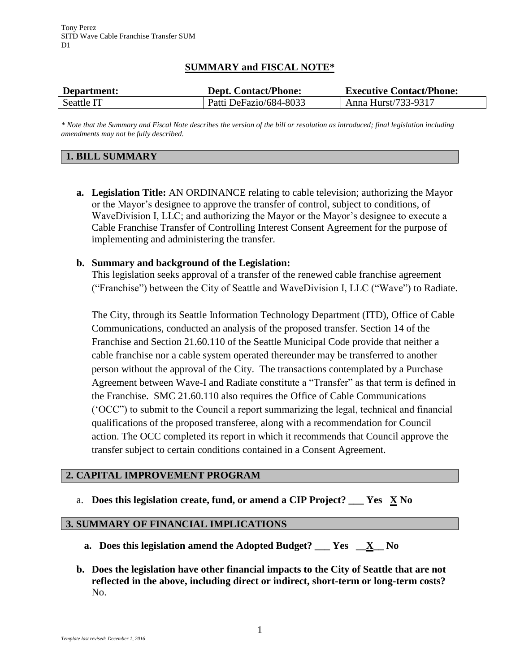# **SUMMARY and FISCAL NOTE\***

| Department: | <b>Dept. Contact/Phone:</b> | <b>Executive Contact/Phone:</b> |
|-------------|-----------------------------|---------------------------------|
| Seattle IT  | Patti DeFazio/684-8033      | Anna Hurst/733-9317             |

*\* Note that the Summary and Fiscal Note describes the version of the bill or resolution as introduced; final legislation including amendments may not be fully described.*

#### **1. BILL SUMMARY**

**a. Legislation Title:** AN ORDINANCE relating to cable television; authorizing the Mayor or the Mayor's designee to approve the transfer of control, subject to conditions, of WaveDivision I, LLC; and authorizing the Mayor or the Mayor's designee to execute a Cable Franchise Transfer of Controlling Interest Consent Agreement for the purpose of implementing and administering the transfer.

### **b. Summary and background of the Legislation:**

This legislation seeks approval of a transfer of the renewed cable franchise agreement ("Franchise") between the City of Seattle and WaveDivision I, LLC ("Wave") to Radiate.

The City, through its Seattle Information Technology Department (ITD), Office of Cable Communications, conducted an analysis of the proposed transfer. Section 14 of the Franchise and Section 21.60.110 of the Seattle Municipal Code provide that neither a cable franchise nor a cable system operated thereunder may be transferred to another person without the approval of the City. The transactions contemplated by a Purchase Agreement between Wave-I and Radiate constitute a "Transfer" as that term is defined in the Franchise. SMC 21.60.110 also requires the Office of Cable Communications ('OCC") to submit to the Council a report summarizing the legal, technical and financial qualifications of the proposed transferee, along with a recommendation for Council action. The OCC completed its report in which it recommends that Council approve the transfer subject to certain conditions contained in a Consent Agreement.

#### **2. CAPITAL IMPROVEMENT PROGRAM**

a. **Does this legislation create, fund, or amend a CIP Project? \_\_\_ Yes X No**

# **3. SUMMARY OF FINANCIAL IMPLICATIONS**

- **a. Does this legislation amend the Adopted Budget? \_\_\_ Yes \_\_X\_\_ No**
- **b. Does the legislation have other financial impacts to the City of Seattle that are not reflected in the above, including direct or indirect, short-term or long-term costs?** No.